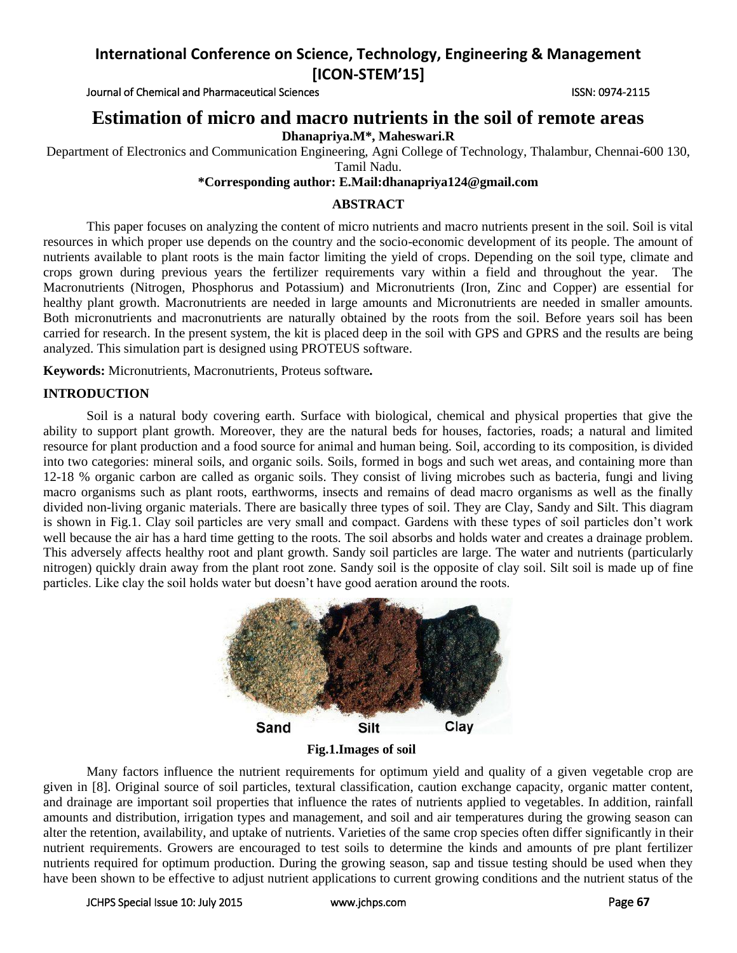Journal of Chemical and Pharmaceutical Sciences **ISSN: 0974-2115** ISSN: 0974-2115

## **Estimation of micro and macro nutrients in the soil of remote areas**

**Dhanapriya.M\*, Maheswari.R**

Department of Electronics and Communication Engineering, Agni College of Technology, Thalambur, Chennai-600 130, Tamil Nadu.

### **\*Corresponding author: E.Mail:dhanapriya124@gmail.com**

## **ABSTRACT**

This paper focuses on analyzing the content of micro nutrients and macro nutrients present in the soil. Soil is vital resources in which proper use depends on the country and the socio-economic development of its people. The amount of nutrients available to plant roots is the main factor limiting the yield of crops. Depending on the soil type, climate and crops grown during previous years the fertilizer requirements vary within a field and throughout the year. The Macronutrients (Nitrogen, Phosphorus and Potassium) and Micronutrients (Iron, Zinc and Copper) are essential for healthy plant growth. Macronutrients are needed in large amounts and Micronutrients are needed in smaller amounts. Both micronutrients and macronutrients are naturally obtained by the roots from the soil. Before years soil has been carried for research. In the present system, the kit is placed deep in the soil with GPS and GPRS and the results are being analyzed. This simulation part is designed using PROTEUS software.

**Keywords:** Micronutrients, Macronutrients, Proteus software*.*

## **INTRODUCTION**

Soil is a natural body covering earth. Surface with biological, chemical and physical properties that give the ability to support plant growth. Moreover, they are the natural beds for houses, factories, roads; a natural and limited resource for plant production and a food source for animal and human being. Soil, according to its composition, is divided into two categories: mineral soils, and organic soils. Soils, formed in bogs and such wet areas, and containing more than 12-18 % organic carbon are called as organic soils. They consist of living microbes such as bacteria, fungi and living macro organisms such as plant roots, earthworms, insects and remains of dead macro organisms as well as the finally divided non-living organic materials. There are basically three types of soil. They are Clay, Sandy and Silt. This diagram is shown in Fig.1. Clay soil particles are very small and compact. Gardens with these types of soil particles don't work well because the air has a hard time getting to the roots. The soil absorbs and holds water and creates a drainage problem. This adversely affects healthy root and plant growth. Sandy soil particles are large. The water and nutrients (particularly nitrogen) quickly drain away from the plant root zone. Sandy soil is the opposite of clay soil. Silt soil is made up of fine particles. Like clay the soil holds water but doesn't have good aeration around the roots.



**Fig.1.Images of soil**

Many factors influence the nutrient requirements for optimum yield and quality of a given vegetable crop are given in [8]. Original source of soil particles, textural classification, caution exchange capacity, organic matter content, and drainage are important soil properties that influence the rates of nutrients applied to vegetables. In addition, rainfall amounts and distribution, irrigation types and management, and soil and air temperatures during the growing season can alter the retention, availability, and uptake of nutrients. Varieties of the same crop species often differ significantly in their nutrient requirements. Growers are encouraged to test soils to determine the kinds and amounts of pre plant fertilizer nutrients required for optimum production. During the growing season, sap and tissue testing should be used when they have been shown to be effective to adjust nutrient applications to current growing conditions and the nutrient status of the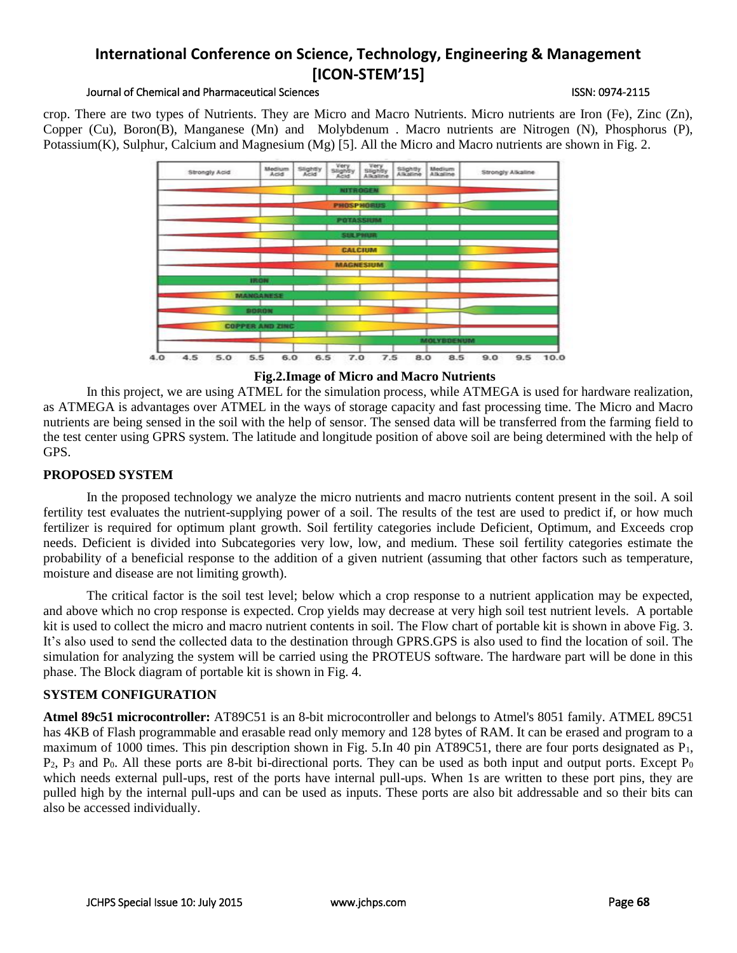#### Journal of Chemical and Pharmaceutical Sciences ISSN: 0974-2115

crop. There are two types of Nutrients. They are Micro and Macro Nutrients. Micro nutrients are Iron (Fe), Zinc (Zn), Copper (Cu), Boron(B), Manganese (Mn) and Molybdenum . Macro nutrients are Nitrogen (N), Phosphorus (P), Potassium(K), Sulphur, Calcium and Magnesium (Mg) [5]. All the Micro and Macro nutrients are shown in Fig. 2.



**Fig.2.Image of Micro and Macro Nutrients**

In this project, we are using ATMEL for the simulation process, while ATMEGA is used for hardware realization, as ATMEGA is advantages over ATMEL in the ways of storage capacity and fast processing time. The Micro and Macro nutrients are being sensed in the soil with the help of sensor. The sensed data will be transferred from the farming field to the test center using GPRS system. The latitude and longitude position of above soil are being determined with the help of GPS.

## **PROPOSED SYSTEM**

In the proposed technology we analyze the micro nutrients and macro nutrients content present in the soil. A soil fertility test evaluates the nutrient-supplying power of a soil. The results of the test are used to predict if, or how much fertilizer is required for optimum plant growth. Soil fertility categories include Deficient, Optimum, and Exceeds crop needs. Deficient is divided into Subcategories very low, low, and medium. These soil fertility categories estimate the probability of a beneficial response to the addition of a given nutrient (assuming that other factors such as temperature, moisture and disease are not limiting growth).

The critical factor is the soil test level; below which a crop response to a nutrient application may be expected, and above which no crop response is expected. Crop yields may decrease at very high soil test nutrient levels. A portable kit is used to collect the micro and macro nutrient contents in soil. The Flow chart of portable kit is shown in above Fig. 3. It's also used to send the collected data to the destination through GPRS.GPS is also used to find the location of soil. The simulation for analyzing the system will be carried using the PROTEUS software. The hardware part will be done in this phase. The Block diagram of portable kit is shown in Fig. 4.

## **SYSTEM CONFIGURATION**

**Atmel 89c51 microcontroller:** AT89C51 is an 8-bit [microcontroller](http://www.engineersgarage.com/microcontroller) and belongs to Atmel's [8051 family.](http://www.engineersgarage.com/8051-microcontroller) ATMEL 89C51 has 4KB of Flash programmable and erasable read only memory and 128 bytes of RAM. It can be erased and program to a maximum of 1000 times. This pin description shown in Fig. 5.In 40 pin AT89C51, there are four ports designated as P<sub>1</sub>,  $P_2$ ,  $P_3$  and  $P_0$ . All these ports are 8-bit bi-directional ports. They can be used as both input and output ports. Except  $P_0$ which needs external pull-ups, rest of the ports have internal pull-ups. When 1s are written to these port pins, they are pulled high by the internal pull-ups and can be used as inputs. These ports are also bit addressable and so their bits can also be accessed individually.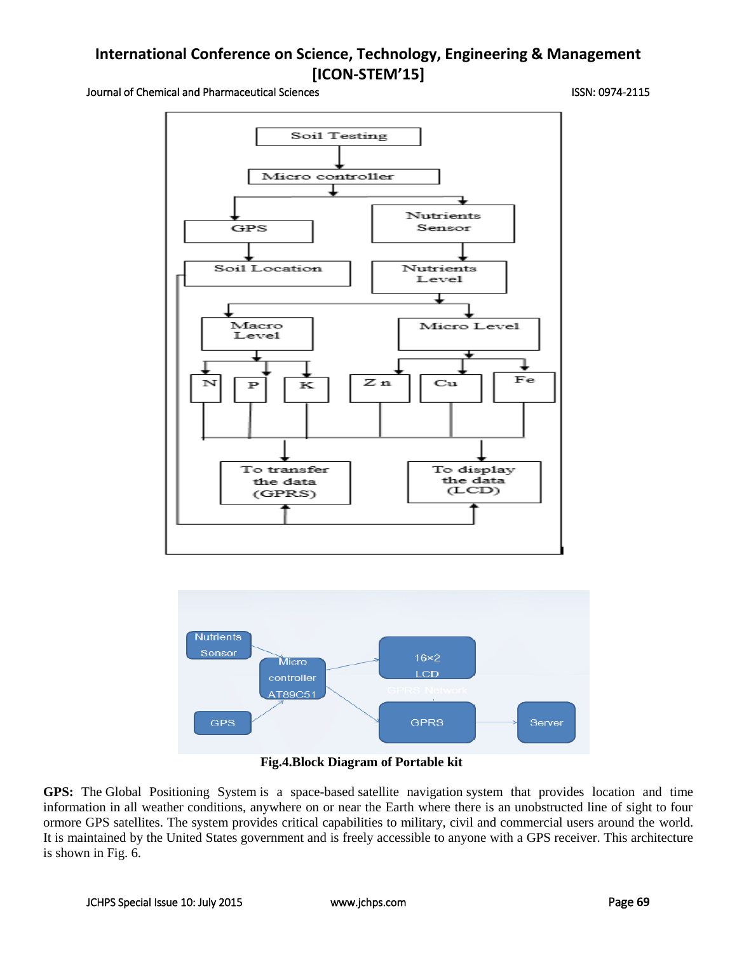Journal of Chemical and Pharmaceutical Sciences ISSN: 0974-2115





## **Fig.4.Block Diagram of Portable kit**

**GPS:** The Global Positioning System is a space-based [satellite navigation](http://en.wikipedia.org/wiki/Satellite_navigation) system that provides location and time information in all weather conditions, anywhere on or near the Earth where there is an unobstructed line of sight to four ormore GPS satellites. The system provides critical capabilities to military, civil and commercial users around the world. It is maintained by the [United States](http://en.wikipedia.org/wiki/United_States) government and is freely accessible to anyone with a GPS [receiver.](http://en.wikipedia.org/wiki/GPS_receiver) This architecture is shown in Fig. 6.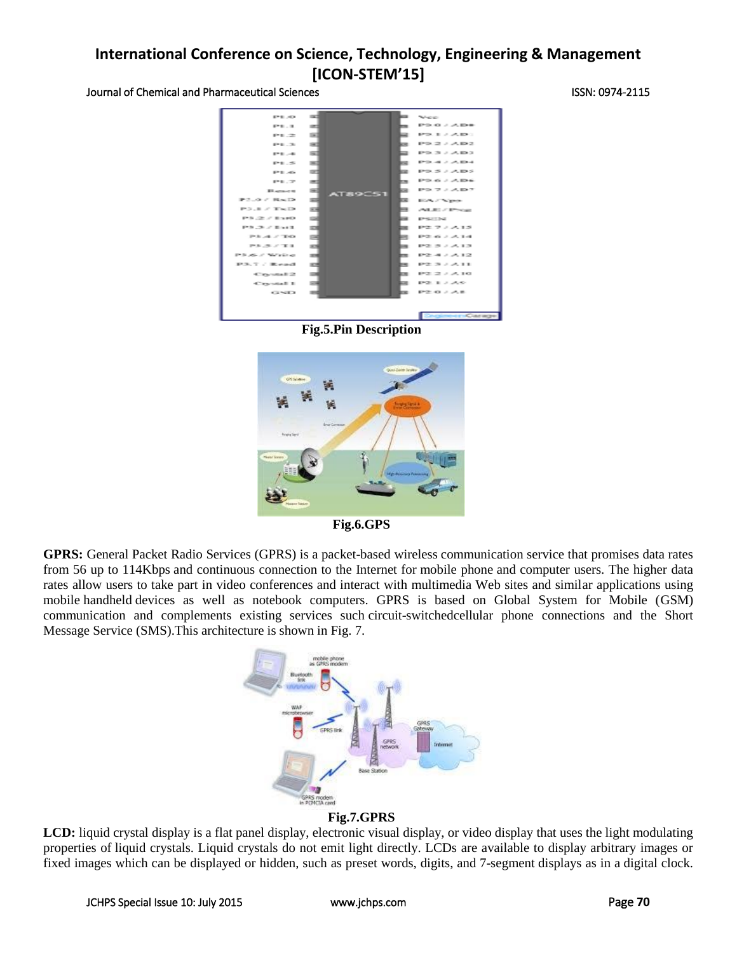Journal of Chemical and Pharmaceutical Sciences ISSN: 0974-2115



**Fig.5.Pin Description**



**Fig.6.GPS**

**GPRS:** General Packet Radio Services (GPRS) is a [packet-](http://searchnetworking.techtarget.com/definition/packet)based [wireless](http://searchmobilecomputing.techtarget.com/definition/wireless) communication service that promises data rates from 56 up to 11[4Kbps](http://searchnetworking.techtarget.com/definition/Kbps) and continuous connection to the Internet for [mobile phone](http://searchmobilecomputing.techtarget.com/definition/cellular-telephone) and computer users. The higher data rates allow users to take part in video conferences and interact with multimedia Web sites and similar applications using mobile [handheld](http://searchmobilecomputing.techtarget.com/definition/handheld) devices as well as notebook computers. GPRS is based on Global System for Mobile [\(GSM\)](http://searchmobilecomputing.techtarget.com/definition/GSM) communication and complements existing services such [circuit-switchedc](http://searchnetworking.techtarget.com/definition/circuit-switched)ellular phone connections and the Short Message Service [\(SMS\)](http://searchmobilecomputing.techtarget.com/definition/Short-Message-Service).This architecture is shown in Fig. 7.



## **Fig.7.GPRS**

LCD: liquid crystal display is a [flat panel display,](http://en.wikipedia.org/wiki/Flat_panel_display) [electronic visual display,](http://en.wikipedia.org/wiki/Electronic_visual_display) or [video display](http://en.wikipedia.org/wiki/Video_display) that uses the light modulating properties of [liquid crystals.](http://en.wikipedia.org/wiki/Liquid_Crystals) Liquid crystals do not emit light directly. LCDs are available to display arbitrary images or fixed images which can be displayed or hidden, such as preset words, digits, and [7-segment](http://en.wikipedia.org/wiki/7-segment) displays as in a [digital clock.](http://en.wikipedia.org/wiki/Digital_clock)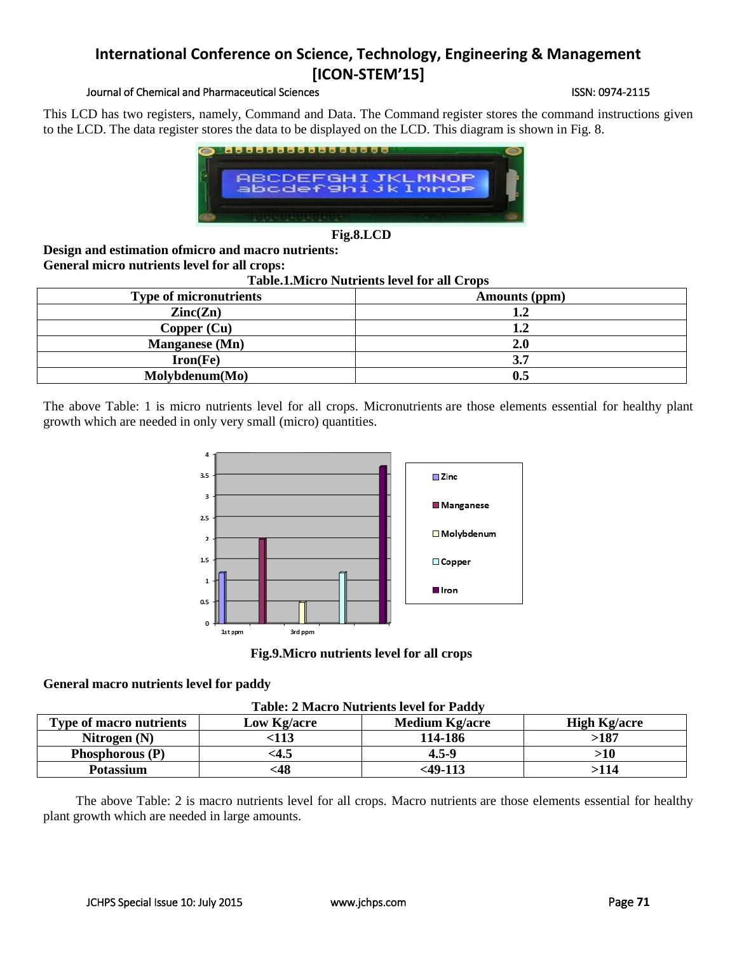## Journal of Chemical and Pharmaceutical Sciences **ISSN: 0974-2115** ISSN: 0974-2115

This LCD has two registers, namely, Command and Data. The Command register stores the command instructions given to the LCD. The data register stores the data to be displayed on the LCD. This diagram is shown in Fig. 8.



**Fig.8.LCD**

**Design and estimation ofmicro and macro nutrients: General micro nutrients level for all crops:**

**Table.1.Micro Nutrients level for all Crops**

| <b>Type of micronutrients</b> | Amounts (ppm)  |
|-------------------------------|----------------|
| $\text{Zinc}(\text{Zn})$      | ۱.Z            |
| Copper (Cu)                   | $\mathbf{1.2}$ |
| Manganese (Mn)                | 2.0            |
| $Iron(Fe)$                    |                |
| Molybdenum(Mo)                |                |

The above Table: 1 is micro nutrients level for all crops. Micronutrients are those elements essential for healthy plant growth which are needed in only very small (micro) quantities.



**Fig.9.Micro nutrients level for all crops**

#### **General macro nutrients level for paddy**

| <b>Table: 2 Macro Nutrients level for Paddy</b> |  |  |  |  |  |
|-------------------------------------------------|--|--|--|--|--|
|-------------------------------------------------|--|--|--|--|--|

| Table: 2 Macro Paulicius Icycl Ior I auu |             |                       |                     |  |  |  |  |
|------------------------------------------|-------------|-----------------------|---------------------|--|--|--|--|
| <b>Type of macro nutrients</b>           | Low Kg/acre | <b>Medium Kg/acre</b> | <b>High Kg/acre</b> |  |  |  |  |
| Nitrogen $(N)$                           | 113         | 114-186               | >187                |  |  |  |  |
| Phosphorous (P)                          | <4.5        | $4.5 - 9$             | >10                 |  |  |  |  |
| <b>Potassium</b>                         | <48         | <b>&lt;49-113</b>     | >114                |  |  |  |  |

The above Table: 2 is macro nutrients level for all crops. Macro nutrients are those elements essential for healthy plant growth which are needed in large amounts.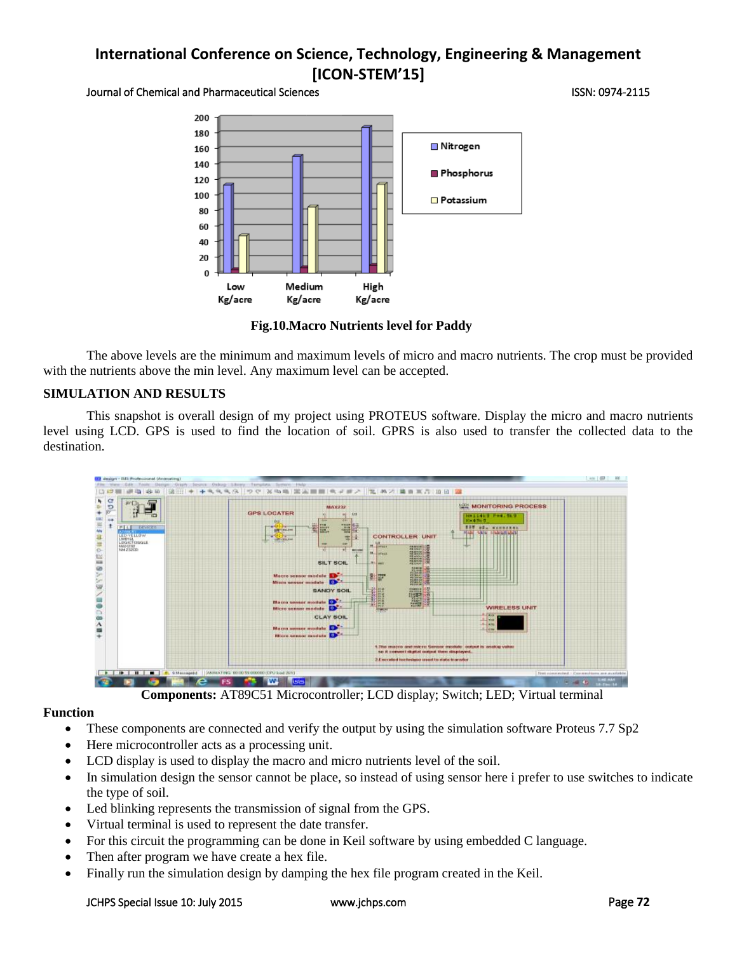Journal of Chemical and Pharmaceutical Sciences ISSN: 0974-2115



**Fig.10.Macro Nutrients level for Paddy**

The above levels are the minimum and maximum levels of micro and macro nutrients. The crop must be provided with the nutrients above the min level. Any maximum level can be accepted.

## **SIMULATION AND RESULTS**

This snapshot is overall design of my project using PROTEUS software. Display the micro and macro nutrients level using LCD. GPS is used to find the location of soil. GPRS is also used to transfer the collected data to the destination.



## **Function**

- These components are connected and verify the output by using the simulation software Proteus 7.7 Sp2
- Here microcontroller acts as a processing unit.
- LCD display is used to display the macro and micro nutrients level of the soil.
- In simulation design the sensor cannot be place, so instead of using sensor here i prefer to use switches to indicate the type of soil.
- Led blinking represents the transmission of signal from the GPS.
- Virtual terminal is used to represent the date transfer.
- For this circuit the programming can be done in Keil software by using embedded C language.
- Then after program we have create a hex file.
- Finally run the simulation design by damping the hex file program created in the Keil.